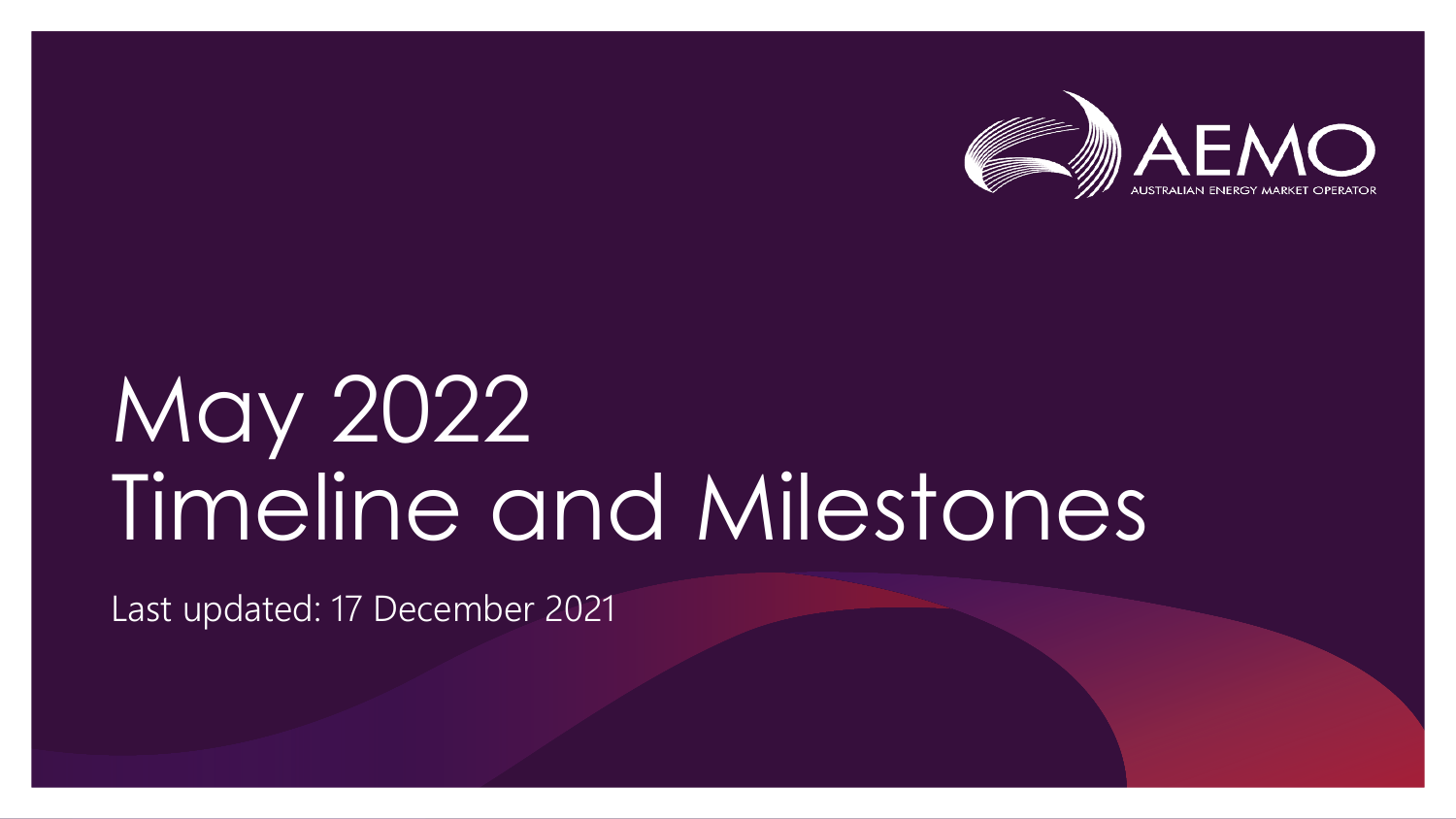

## May 2022 Timeline and Milestones

Last updated: 17 December 2021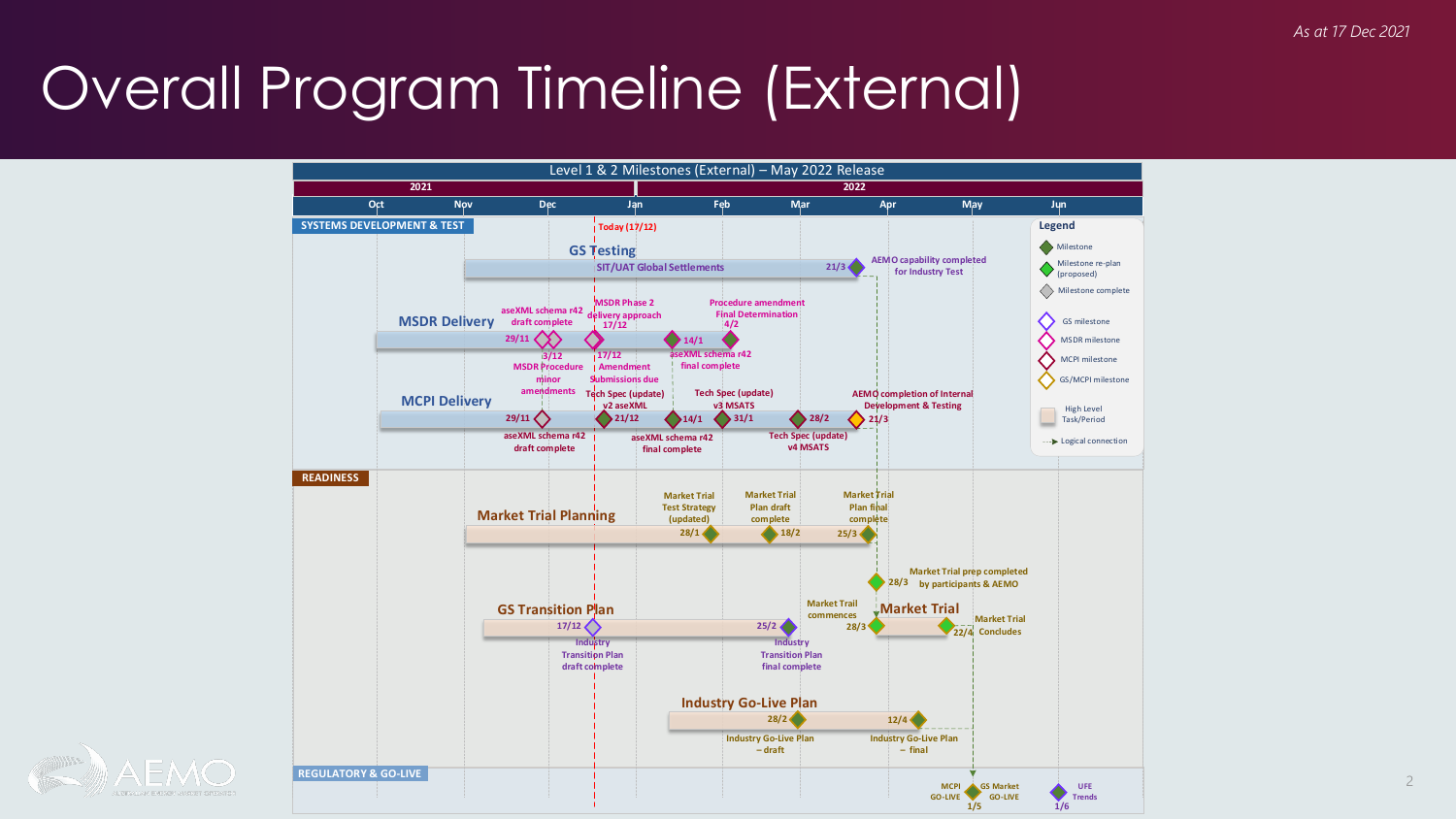## Overall Program Timeline (External)



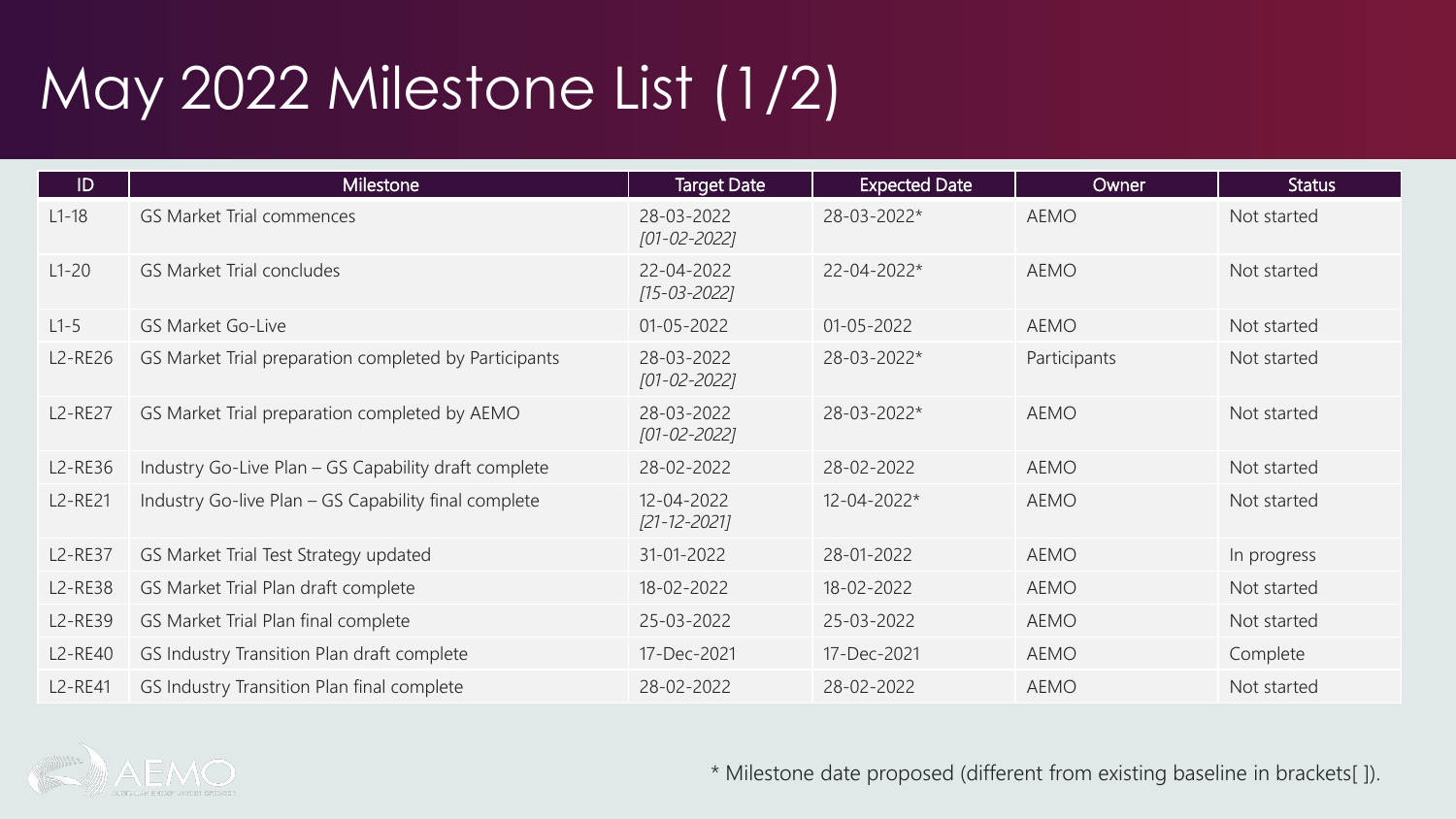## May 2022 Milestone List (1/2)

| ID             | Milestone                                             | <b>Target Date</b>               | <b>Expected Date</b> | Owner        | <b>Status</b> |
|----------------|-------------------------------------------------------|----------------------------------|----------------------|--------------|---------------|
| $L1-18$        | <b>GS Market Trial commences</b>                      | 28-03-2022<br>$[01 - 02 - 2022]$ | 28-03-2022*          | <b>AEMO</b>  | Not started   |
| $L1-20$        | <b>GS Market Trial concludes</b>                      | 22-04-2022<br>$[15-03-2022]$     | 22-04-2022*          | <b>AEMO</b>  | Not started   |
| $L1-5$         | <b>GS Market Go-Live</b>                              | $01 - 05 - 2022$                 | $01 - 05 - 2022$     | <b>AEMO</b>  | Not started   |
| L2-RE26        | GS Market Trial preparation completed by Participants | 28-03-2022<br>[01-02-2022]       | 28-03-2022*          | Participants | Not started   |
| <b>L2-RE27</b> | GS Market Trial preparation completed by AEMO         | 28-03-2022<br>[01-02-2022]       | 28-03-2022*          | <b>AEMO</b>  | Not started   |
| L2-RE36        | Industry Go-Live Plan - GS Capability draft complete  | 28-02-2022                       | 28-02-2022           | <b>AEMO</b>  | Not started   |
| L2-RE21        | Industry Go-live Plan - GS Capability final complete  | 12-04-2022<br>[21-12-2021]       | 12-04-2022*          | <b>AEMO</b>  | Not started   |
| <b>L2-RE37</b> | GS Market Trial Test Strategy updated                 | 31-01-2022                       | 28-01-2022           | <b>AEMO</b>  | In progress   |
| <b>L2-RE38</b> | GS Market Trial Plan draft complete                   | 18-02-2022                       | 18-02-2022           | AEMO         | Not started   |
| L2-RE39        | GS Market Trial Plan final complete                   | 25-03-2022                       | 25-03-2022           | <b>AEMO</b>  | Not started   |
| L2-RE40        | GS Industry Transition Plan draft complete            | 17-Dec-2021                      | 17-Dec-2021          | AEMO         | Complete      |
| L2-RE41        | GS Industry Transition Plan final complete            | 28-02-2022                       | 28-02-2022           | <b>AEMO</b>  | Not started   |



\* Milestone date proposed (different from existing baseline in brackets[ ]).